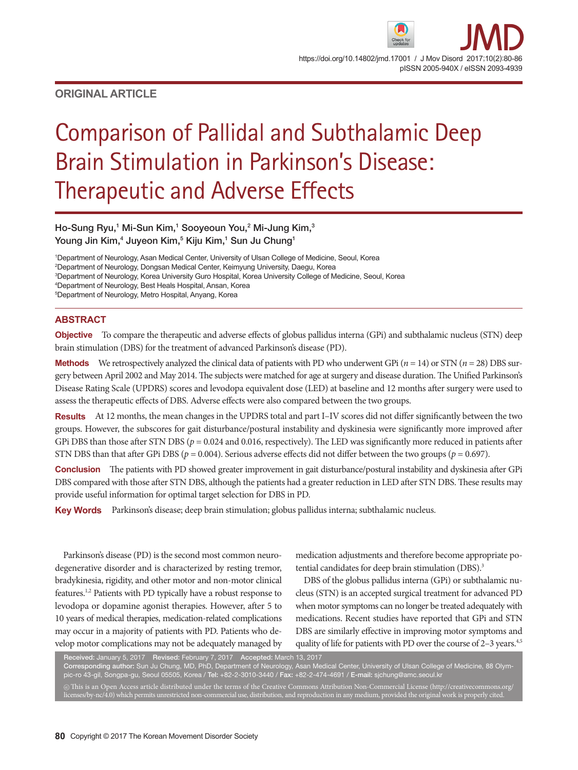# **ORIGINAL ARTICLE**

# Comparison of Pallidal and Subthalamic Deep Brain Stimulation in Parkinson's Disease: Therapeutic and Adverse Effects

Ho-Sung Ryu,<sup>1</sup> Mi-Sun Kim,<sup>1</sup> Sooyeoun You,<sup>2</sup> Mi-Jung Kim,<sup>3</sup> Young Jin Kim, $^4$  Juyeon Kim, $^5$  Kiju Kim, $^1$  Sun Ju Chung $^1$ 

1 Department of Neurology, Asan Medical Center, University of Ulsan College of Medicine, Seoul, Korea

2 Department of Neurology, Dongsan Medical Center, Keimyung University, Daegu, Korea

3 Department of Neurology, Korea University Guro Hospital, Korea University College of Medicine, Seoul, Korea

4 Department of Neurology, Best Heals Hospital, Ansan, Korea

5 Department of Neurology, Metro Hospital, Anyang, Korea

# **ABSTRACT**

**Objective** To compare the therapeutic and adverse effects of globus pallidus interna (GPi) and subthalamic nucleus (STN) deep brain stimulation (DBS) for the treatment of advanced Parkinson's disease (PD).

**Methods** We retrospectively analyzed the clinical data of patients with PD who underwent GPi ( $n = 14$ ) or STN ( $n = 28$ ) DBS surgery between April 2002 and May 2014. The subjects were matched for age at surgery and disease duration. The Unified Parkinson's Disease Rating Scale (UPDRS) scores and levodopa equivalent dose (LED) at baseline and 12 months after surgery were used to assess the therapeutic effects of DBS. Adverse effects were also compared between the two groups.

**Results** At 12 months, the mean changes in the UPDRS total and part I–IV scores did not differ significantly between the two groups. However, the subscores for gait disturbance/postural instability and dyskinesia were significantly more improved after GPi DBS than those after STN DBS ( $p = 0.024$  and 0.016, respectively). The LED was significantly more reduced in patients after STN DBS than that after GPi DBS ( $p = 0.004$ ). Serious adverse effects did not differ between the two groups ( $p = 0.697$ ).

**Conclusion** The patients with PD showed greater improvement in gait disturbance/postural instability and dyskinesia after GPi DBS compared with those after STN DBS, although the patients had a greater reduction in LED after STN DBS. These results may provide useful information for optimal target selection for DBS in PD.

**Key Words** Parkinson's disease; deep brain stimulation; globus pallidus interna; subthalamic nucleus.

Parkinson's disease (PD) is the second most common neurodegenerative disorder and is characterized by resting tremor, bradykinesia, rigidity, and other motor and non-motor clinical features.1,2 Patients with PD typically have a robust response to levodopa or dopamine agonist therapies. However, after 5 to 10 years of medical therapies, medication-related complications may occur in a majority of patients with PD. Patients who develop motor complications may not be adequately managed by

medication adjustments and therefore become appropriate potential candidates for deep brain stimulation (DBS).<sup>3</sup>

DBS of the globus pallidus interna (GPi) or subthalamic nucleus (STN) is an accepted surgical treatment for advanced PD when motor symptoms can no longer be treated adequately with medications. Recent studies have reported that GPi and STN DBS are similarly effective in improving motor symptoms and quality of life for patients with PD over the course of  $2-3$  years.<sup>4,5</sup>

Received: January 5, 2017 Revised: February 7, 2017 Accepted: March 13, 2017 Corresponding author: Sun Ju Chung, MD, PhD, Department of Neurology, Asan Medical Center, University of Ulsan College of Medicine, 88 Olympic-ro 43-gil, Songpa-gu, Seoul 05505, Korea / Tel: +82-2-3010-3440 / Fax: +82-2-474-4691 / E-mail: sjchung@amc.seoul.kr  $\circledcirc$  This is an Open Access article distributed under the terms of the Creative Commons Attribution Non-Commercial License (http://creativecommons.org/ licenses/by-nc/4.0) which permits unrestricted non-commercial use, distribution, and reproduction in any medium, provided the original work is properly cited.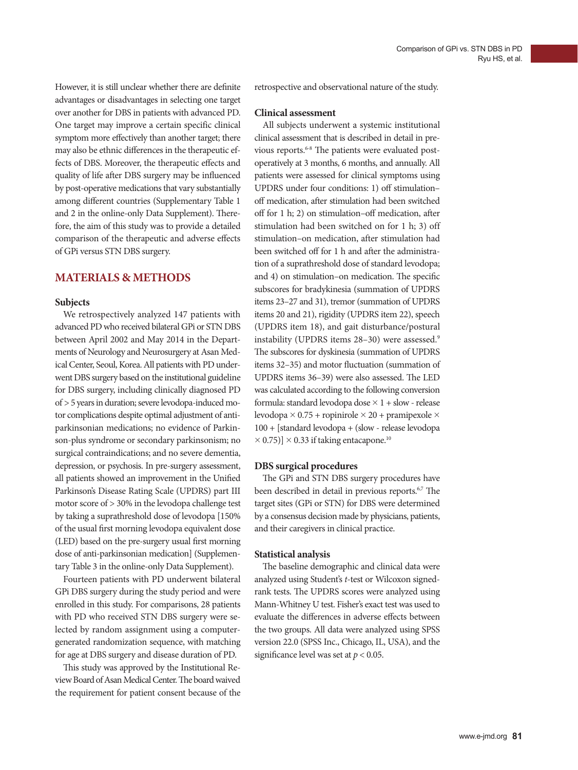However, it is still unclear whether there are definite advantages or disadvantages in selecting one target over another for DBS in patients with advanced PD. One target may improve a certain specific clinical symptom more effectively than another target; there may also be ethnic differences in the therapeutic effects of DBS. Moreover, the therapeutic effects and quality of life after DBS surgery may be influenced by post-operative medications that vary substantially among different countries (Supplementary Table 1 and 2 in the online-only Data Supplement). Therefore, the aim of this study was to provide a detailed comparison of the therapeutic and adverse effects of GPi versus STN DBS surgery.

# **MATERIALS & METHODS**

## **Subjects**

We retrospectively analyzed 147 patients with advanced PD who received bilateral GPi or STN DBS between April 2002 and May 2014 in the Departments of Neurology and Neurosurgery at Asan Medical Center, Seoul, Korea. All patients with PD underwent DBS surgery based on the institutional guideline for DBS surgery, including clinically diagnosed PD of > 5 years in duration; severe levodopa-induced motor complications despite optimal adjustment of antiparkinsonian medications; no evidence of Parkinson-plus syndrome or secondary parkinsonism; no surgical contraindications; and no severe dementia, depression, or psychosis. In pre-surgery assessment, all patients showed an improvement in the Unified Parkinson's Disease Rating Scale (UPDRS) part III motor score of > 30% in the levodopa challenge test by taking a suprathreshold dose of levodopa [150% of the usual first morning levodopa equivalent dose (LED) based on the pre-surgery usual first morning dose of anti-parkinsonian medication] (Supplementary Table 3 in the online-only Data Supplement).

Fourteen patients with PD underwent bilateral GPi DBS surgery during the study period and were enrolled in this study. For comparisons, 28 patients with PD who received STN DBS surgery were selected by random assignment using a computergenerated randomization sequence, with matching for age at DBS surgery and disease duration of PD.

This study was approved by the Institutional Review Board of Asan Medical Center. The board waived the requirement for patient consent because of the retrospective and observational nature of the study.

### **Clinical assessment**

All subjects underwent a systemic institutional clinical assessment that is described in detail in previous reports.<sup>6-8</sup> The patients were evaluated postoperatively at 3 months, 6 months, and annually. All patients were assessed for clinical symptoms using UPDRS under four conditions: 1) off stimulation– off medication, after stimulation had been switched off for 1 h; 2) on stimulation–off medication, after stimulation had been switched on for 1 h; 3) off stimulation–on medication, after stimulation had been switched off for 1 h and after the administration of a suprathreshold dose of standard levodopa; and 4) on stimulation–on medication. The specific subscores for bradykinesia (summation of UPDRS items 23–27 and 31), tremor (summation of UPDRS items 20 and 21), rigidity (UPDRS item 22), speech (UPDRS item 18), and gait disturbance/postural instability (UPDRS items 28-30) were assessed.<sup>9</sup> The subscores for dyskinesia (summation of UPDRS items 32–35) and motor fluctuation (summation of UPDRS items 36–39) were also assessed. The LED was calculated according to the following conversion formula: standard levodopa dose  $\times$  1 + slow - release levodopa  $\times$  0.75 + ropinirole  $\times$  20 + pramipexole  $\times$ 100 + [standard levodopa + (slow - release levodopa  $\times$  0.75)]  $\times$  0.33 if taking entacapone.<sup>10</sup>

### **DBS surgical procedures**

The GPi and STN DBS surgery procedures have been described in detail in previous reports.<sup>6,7</sup> The target sites (GPi or STN) for DBS were determined by a consensus decision made by physicians, patients, and their caregivers in clinical practice.

### **Statistical analysis**

The baseline demographic and clinical data were analyzed using Student's *t*-test or Wilcoxon signedrank tests. The UPDRS scores were analyzed using Mann-Whitney U test. Fisher's exact test was used to evaluate the differences in adverse effects between the two groups. All data were analyzed using SPSS version 22.0 (SPSS Inc., Chicago, IL, USA), and the significance level was set at *p* < 0.05.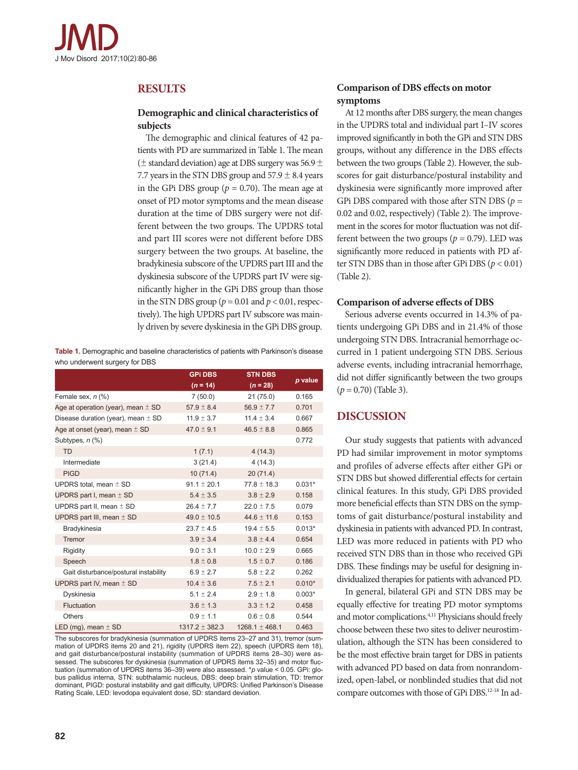

# **RESULTS**

## **Demographic and clinical characteristics of subjects**

The demographic and clinical features of 42 patients with PD are summarized in Table 1. The mean ( $\pm$  standard deviation) age at DBS surgery was 56.9  $\pm$ 7.7 years in the STN DBS group and  $57.9 \pm 8.4$  years in the GPi DBS group ( $p = 0.70$ ). The mean age at onset of PD motor symptoms and the mean disease duration at the time of DBS surgery were not different between the two groups. The UPDRS total and part III scores were not different before DBS surgery between the two groups. At baseline, the bradykinesia subscore of the UPDRS part III and the dyskinesia subscore of the UPDRS part IV were significantly higher in the GPi DBS group than those in the STN DBS group ( $p = 0.01$  and  $p < 0.01$ , respectively). The high UPDRS part IV subscore was mainly driven by severe dyskinesia in the GPi DBS group.

**Table 1.** Demographic and baseline characteristics of patients with Parkinson's disease who underwent surgery for DBS

|                                        | <b>GPI DBS</b>     | <b>STN DBS</b>     |          |
|----------------------------------------|--------------------|--------------------|----------|
|                                        | $(n = 14)$         | $(n = 28)$         | p value  |
| Female sex, $n$ $%$                    | 7(50.0)            | 21(75.0)           | 0.165    |
| Age at operation (year), mean $\pm$ SD | $57.9 \pm 8.4$     | $56.9 \pm 7.7$     | 0.701    |
| Disease duration (year), mean $\pm$ SD | $11.9 \pm 3.7$     | $11.4 \pm 3.4$     | 0.667    |
| Age at onset (year), mean $\pm$ SD     | $47.0 \pm 9.1$     | $46.5 \pm 8.8$     | 0.865    |
| Subtypes, $n$ $%$                      |                    |                    | 0.772    |
| <b>TD</b>                              | 1(7.1)             | 4(14.3)            |          |
| Intermediate                           | 3(21.4)            | 4(14.3)            |          |
| <b>PIGD</b>                            | 10(71.4)           | 20(71.4)           |          |
| UPDRS total, mean $\pm$ SD             | $91.1 \pm 20.1$    | $77.8 \pm 18.3$    | $0.031*$ |
| UPDRS part I, mean $\pm$ SD            | $5.4 \pm 3.5$      | $3.8 \pm 2.9$      | 0.158    |
| UPDRS part II, mean $\pm$ SD           | $26.4 \pm 7.7$     | $22.0 \pm 7.5$     | 0.079    |
| UPDRS part III, mean $\pm$ SD          | $49.0 \pm 10.5$    | $44.6 \pm 11.6$    | 0.153    |
| Bradykinesia                           | $23.7 \pm 4.5$     | $19.4 \pm 5.5$     | $0.013*$ |
| Tremor                                 | $3.9 \pm 3.4$      | $3.8 \pm 4.4$      | 0.654    |
| Rigidity                               | $9.0 \pm 3.1$      | $10.0 \pm 2.9$     | 0.665    |
| Speech                                 | $1.8 \pm 0.8$      | $1.5 \pm 0.7$      | 0.186    |
| Gait disturbance/postural instability  | $6.9 \pm 2.7$      | $5.8 \pm 2.2$      | 0.262    |
| UPDRS part IV, mean $\pm$ SD           | $10.4 \pm 3.6$     | $7.5 \pm 2.1$      | $0.010*$ |
| Dyskinesia                             | 5.1 $\pm$ 2.4      | $2.9 \pm 1.8$      | $0.003*$ |
| Fluctuation                            | $3.6 \pm 1.3$      | $3.3 \pm 1.2$      | 0.458    |
| <b>Others</b>                          | $0.9 \pm 1.1$      | $0.6 \pm 0.8$      | 0.544    |
| LED (mg), mean $\pm$ SD                | $1317.2 \pm 382.3$ | $1268.1 \pm 468.1$ | 0.463    |

The subscores for bradykinesia (summation of UPDRS items 23–27 and 31), tremor (summation of UPDRS items 20 and 21), rigidity (UPDRS item 22), speech (UPDRS item 18), and gait disturbance/postural instability (summation of UPDRS items 28-30) were assessed. The subscores for dyskinesia (summation of UPDRS items 32–35) and motor fluctuation (summation of UPDRS items 36–39) were also assessed. \**p* value < 0.05. GPi: globus pallidus interna, STN: subthalamic nucleus, DBS: deep brain stimulation, TD: tremor dominant, PIGD: postural instability and gait difficulty, UPDRS: Unified Parkinson's Disease Rating Scale, LED: levodopa equivalent dose, SD: standard deviation.

# **Comparison of DBS effects on motor symptoms**

At 12 months after DBS surgery, the mean changes in the UPDRS total and individual part I–IV scores improved significantly in both the GPi and STN DBS groups, without any difference in the DBS effects between the two groups (Table 2). However, the subscores for gait disturbance/postural instability and dyskinesia were significantly more improved after GPi DBS compared with those after STN DBS (*p* = 0.02 and 0.02, respectively) (Table 2). The improvement in the scores for motor fluctuation was not different between the two groups ( $p = 0.79$ ). LED was significantly more reduced in patients with PD after STN DBS than in those after GPi DBS (*p* < 0.01) (Table 2).

## **Comparison of adverse effects of DBS**

Serious adverse events occurred in 14.3% of patients undergoing GPi DBS and in 21.4% of those undergoing STN DBS. Intracranial hemorrhage occurred in 1 patient undergoing STN DBS. Serious adverse events, including intracranial hemorrhage, did not differ significantly between the two groups (*p* = 0.70) (Table 3).

# **DISCUSSION**

Our study suggests that patients with advanced PD had similar improvement in motor symptoms and profiles of adverse effects after either GPi or STN DBS but showed differential effects for certain clinical features. In this study, GPi DBS provided more beneficial effects than STN DBS on the symptoms of gait disturbance/postural instability and dyskinesia in patients with advanced PD. In contrast, LED was more reduced in patients with PD who received STN DBS than in those who received GPi DBS. These findings may be useful for designing individualized therapies for patients with advanced PD.

In general, bilateral GPi and STN DBS may be equally effective for treating PD motor symptoms and motor complications.<sup>4,11</sup> Physicians should freely choose between these two sites to deliver neurostimulation, although the STN has been considered to be the most effective brain target for DBS in patients with advanced PD based on data from nonrandomized, open-label, or nonblinded studies that did not compare outcomes with those of GPi DBS.<sup>12-18</sup> In ad-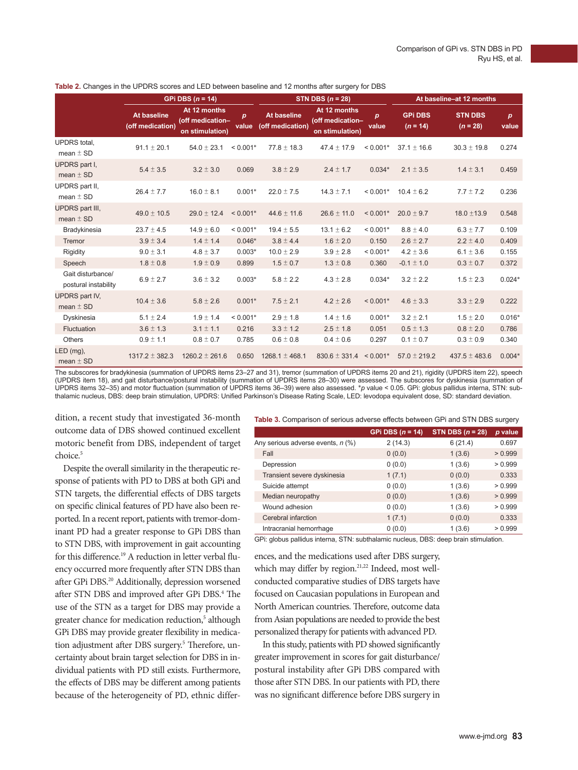| Table 2. Changes in the UPDRS scores and LED between baseline and 12 months after surgery for DBS |                                        |                                                     |                           |                                        |                                                     |                           |                              |                              |                           |
|---------------------------------------------------------------------------------------------------|----------------------------------------|-----------------------------------------------------|---------------------------|----------------------------------------|-----------------------------------------------------|---------------------------|------------------------------|------------------------------|---------------------------|
|                                                                                                   | GPi DBS $(n = 14)$                     |                                                     |                           | STN DBS $(n = 28)$                     |                                                     |                           | At baseline-at 12 months     |                              |                           |
|                                                                                                   | <b>At baseline</b><br>(off medication) | At 12 months<br>(off medication-<br>on stimulation) | $\boldsymbol{p}$<br>value | <b>At baseline</b><br>(off medication) | At 12 months<br>(off medication-<br>on stimulation) | $\boldsymbol{p}$<br>value | <b>GPI DBS</b><br>$(n = 14)$ | <b>STN DBS</b><br>$(n = 28)$ | $\boldsymbol{p}$<br>value |
| <b>UPDRS</b> total.<br>mean $\pm$ SD                                                              | $91.1 \pm 20.1$                        | $54.0 \pm 23.1$                                     | $< 0.001*$                | $77.8 \pm 18.3$                        | $47.4 \pm 17.9$                                     | $< 0.001*$                | $37.1 \pm 16.6$              | $30.3 \pm 19.8$              | 0.274                     |
| <b>UPDRS</b> part I,<br>mean $\pm$ SD                                                             | $5.4 \pm 3.5$                          | $3.2 \pm 3.0$                                       | 0.069                     | $3.8 \pm 2.9$                          | $2.4 \pm 1.7$                                       | $0.034*$                  | $2.1 \pm 3.5$                | $1.4 \pm 3.1$                | 0.459                     |
| UPDRS part II,<br>mean $\pm$ SD                                                                   | $26.4 \pm 7.7$                         | $16.0 \pm 8.1$                                      | $0.001*$                  | $22.0 \pm 7.5$                         | $14.3 \pm 7.1$                                      | $< 0.001*$                | $10.4 \pm 6.2$               | $7.7 \pm 7.2$                | 0.236                     |
| <b>UPDRS part III,</b><br>mean $\pm$ SD                                                           | $49.0 \pm 10.5$                        | $29.0 \pm 12.4$                                     | $< 0.001*$                | $44.6 \pm 11.6$                        | $26.6 \pm 11.0$                                     | $< 0.001*$                | $20.0 \pm 9.7$               | $18.0 \pm 13.9$              | 0.548                     |
| Bradykinesia                                                                                      | $23.7 \pm 4.5$                         | $14.9 \pm 6.0$                                      | $< 0.001*$                | $19.4 \pm 5.5$                         | $13.1 \pm 6.2$                                      | $< 0.001*$                | $8.8 \pm 4.0$                | $6.3 \pm 7.7$                | 0.109                     |
| Tremor                                                                                            | $3.9 \pm 3.4$                          | $1.4 \pm 1.4$                                       | $0.046*$                  | $3.8 \pm 4.4$                          | $1.6 \pm 2.0$                                       | 0.150                     | $2.6 \pm 2.7$                | $2.2 \pm 4.0$                | 0.409                     |
| Rigidity                                                                                          | $9.0 \pm 3.1$                          | $4.8 \pm 3.7$                                       | $0.003*$                  | $10.0 \pm 2.9$                         | $3.9 \pm 2.8$                                       | $< 0.001*$                | $4.2 \pm 3.6$                | $6.1 \pm 3.6$                | 0.155                     |
| Speech                                                                                            | $1.8 \pm 0.8$                          | $1.9 \pm 0.9$                                       | 0.899                     | $1.5 \pm 0.7$                          | $1.3 \pm 0.8$                                       | 0.360                     | $-0.1 \pm 1.0$               | $0.3 \pm 0.7$                | 0.372                     |
| Gait disturbance/<br>postural instability                                                         | $6.9 \pm 2.7$                          | $3.6 \pm 3.2$                                       | $0.003*$                  | $5.8 \pm 2.2$                          | $4.3 \pm 2.8$                                       | $0.034*$                  | $3.2 \pm 2.2$                | $1.5 \pm 2.3$                | $0.024*$                  |
| <b>UPDRS part IV,</b><br>mean $\pm$ SD                                                            | $10.4 \pm 3.6$                         | $5.8 \pm 2.6$                                       | $0.001*$                  | $7.5 \pm 2.1$                          | $4.2 \pm 2.6$                                       | $< 0.001*$                | $4.6 \pm 3.3$                | $3.3 \pm 2.9$                | 0.222                     |
| Dyskinesia                                                                                        | $5.1 \pm 2.4$                          | $1.9 \pm 1.4$                                       | $< 0.001*$                | $2.9 \pm 1.8$                          | $1.4 \pm 1.6$                                       | $0.001*$                  | $3.2 \pm 2.1$                | $1.5 \pm 2.0$                | $0.016*$                  |
| Fluctuation                                                                                       | $3.6 \pm 1.3$                          | $3.1 \pm 1.1$                                       | 0.216                     | $3.3 \pm 1.2$                          | $2.5 \pm 1.8$                                       | 0.051                     | $0.5 \pm 1.3$                | $0.8 \pm 2.0$                | 0.786                     |
| <b>Others</b>                                                                                     | $0.9 \pm 1.1$                          | $0.8 \pm 0.7$                                       | 0.785                     | $0.6 \pm 0.8$                          | $0.4 \pm 0.6$                                       | 0.297                     | $0.1 \pm 0.7$                | $0.3 \pm 0.9$                | 0.340                     |
| LED (mg),<br>mean $\pm$ SD                                                                        | $1317.2 \pm 382.3$                     | $1260.2 \pm 261.6$                                  | 0.650                     | $1268.1 \pm 468.1$                     | $830.6 \pm 331.4 \le 0.001^*$                       |                           | $57.0 \pm 219.2$             | $437.5 \pm 483.6$            | $0.004*$                  |

The subscores for bradykinesia (summation of UPDRS items 23–27 and 31), tremor (summation of UPDRS items 20 and 21), rigidity (UPDRS item 22), speech (UPDRS item 18), and gait disturbance/postural instability (summation of UPDRS items 28–30) were assessed. The subscores for dyskinesia (summation of<br>UPDRS items 32–35) and motor fluctuation (summation of UPDRS items 36–39 thalamic nucleus, DBS: deep brain stimulation, UPDRS: Unified Parkinson's Disease Rating Scale, LED: levodopa equivalent dose, SD: standard deviation.

dition, a recent study that investigated 36-month outcome data of DBS showed continued excellent motoric benefit from DBS, independent of target choice.<sup>5</sup>

Despite the overall similarity in the therapeutic response of patients with PD to DBS at both GPi and STN targets, the differential effects of DBS targets on specific clinical features of PD have also been reported. In a recent report, patients with tremor-dominant PD had a greater response to GPi DBS than to STN DBS, with improvement in gait accounting for this difference.<sup>19</sup> A reduction in letter verbal fluency occurred more frequently after STN DBS than after GPi DBS.<sup>20</sup> Additionally, depression worsened after STN DBS and improved after GPi DBS.<sup>4</sup> The use of the STN as a target for DBS may provide a greater chance for medication reduction,<sup>5</sup> although GPi DBS may provide greater flexibility in medication adjustment after DBS surgery.<sup>5</sup> Therefore, uncertainty about brain target selection for DBS in individual patients with PD still exists. Furthermore, the effects of DBS may be different among patients because of the heterogeneity of PD, ethnic differ-

#### **Table 3.** Comparison of serious adverse effects between GPi and STN DBS surgery

|                                   | GPi DBS $(n = 14)$ | STN DBS $(n = 28)$ | p value |
|-----------------------------------|--------------------|--------------------|---------|
| Any serious adverse events, n (%) | 2(14.3)            | 6(21.4)            | 0.697   |
| Fall                              | 0(0.0)             | 1(3.6)             | > 0.999 |
| Depression                        | 0(0.0)             | 1(3.6)             | > 0.999 |
| Transient severe dyskinesia       | 1(7.1)             | 0(0.0)             | 0.333   |
| Suicide attempt                   | 0(0.0)             | 1(3.6)             | > 0.999 |
| Median neuropathy                 | 0(0.0)             | 1(3.6)             | > 0.999 |
| Wound adhesion                    | 0(0.0)             | 1(3.6)             | > 0.999 |
| Cerebral infarction               | 1(7.1)             | 0(0.0)             | 0.333   |
| Intracranial hemorrhage           | 0(0.0)             | 1(3.6)             | > 0.999 |

GPi: globus pallidus interna, STN: subthalamic nucleus, DBS: deep brain stimulation.

ences, and the medications used after DBS surgery, which may differ by region.<sup>21,22</sup> Indeed, most wellconducted comparative studies of DBS targets have focused on Caucasian populations in European and North American countries. Therefore, outcome data from Asian populations are needed to provide the best personalized therapy for patients with advanced PD.

In this study, patients with PD showed significantly greater improvement in scores for gait disturbance/ postural instability after GPi DBS compared with those after STN DBS. In our patients with PD, there was no significant difference before DBS surgery in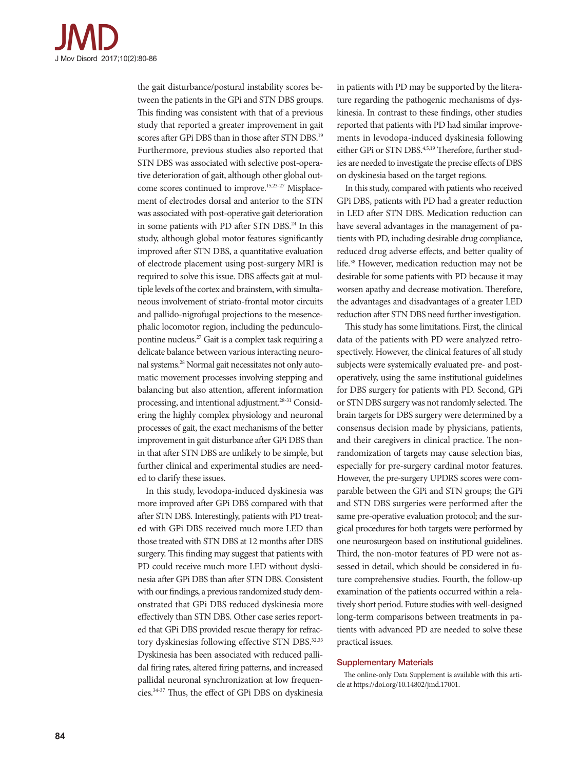

the gait disturbance/postural instability scores between the patients in the GPi and STN DBS groups. This finding was consistent with that of a previous study that reported a greater improvement in gait scores after GPi DBS than in those after STN DBS.<sup>19</sup> Furthermore, previous studies also reported that STN DBS was associated with selective post-operative deterioration of gait, although other global outcome scores continued to improve.15,23-27 Misplacement of electrodes dorsal and anterior to the STN was associated with post-operative gait deterioration in some patients with PD after STN DBS.<sup>24</sup> In this study, although global motor features significantly improved after STN DBS, a quantitative evaluation of electrode placement using post-surgery MRI is required to solve this issue. DBS affects gait at multiple levels of the cortex and brainstem, with simultaneous involvement of striato-frontal motor circuits and pallido-nigrofugal projections to the mesencephalic locomotor region, including the pedunculopontine nucleus.27 Gait is a complex task requiring a delicate balance between various interacting neuronal systems.28 Normal gait necessitates not only automatic movement processes involving stepping and balancing but also attention, afferent information processing, and intentional adjustment.28-31 Considering the highly complex physiology and neuronal processes of gait, the exact mechanisms of the better improvement in gait disturbance after GPi DBS than in that after STN DBS are unlikely to be simple, but further clinical and experimental studies are needed to clarify these issues.

In this study, levodopa-induced dyskinesia was more improved after GPi DBS compared with that after STN DBS. Interestingly, patients with PD treated with GPi DBS received much more LED than those treated with STN DBS at 12 months after DBS surgery. This finding may suggest that patients with PD could receive much more LED without dyskinesia after GPi DBS than after STN DBS. Consistent with our findings, a previous randomized study demonstrated that GPi DBS reduced dyskinesia more effectively than STN DBS. Other case series reported that GPi DBS provided rescue therapy for refractory dyskinesias following effective STN DBS.<sup>32,33</sup> Dyskinesia has been associated with reduced pallidal firing rates, altered firing patterns, and increased pallidal neuronal synchronization at low frequencies.34-37 Thus, the effect of GPi DBS on dyskinesia in patients with PD may be supported by the literature regarding the pathogenic mechanisms of dyskinesia. In contrast to these findings, other studies reported that patients with PD had similar improvements in levodopa-induced dyskinesia following either GPi or STN DBS.<sup>4,5,19</sup> Therefore, further studies are needed to investigate the precise effects of DBS on dyskinesia based on the target regions.

In this study, compared with patients who received GPi DBS, patients with PD had a greater reduction in LED after STN DBS. Medication reduction can have several advantages in the management of patients with PD, including desirable drug compliance, reduced drug adverse effects, and better quality of life.38 However, medication reduction may not be desirable for some patients with PD because it may worsen apathy and decrease motivation. Therefore, the advantages and disadvantages of a greater LED reduction after STN DBS need further investigation.

This study has some limitations. First, the clinical data of the patients with PD were analyzed retrospectively. However, the clinical features of all study subjects were systemically evaluated pre- and postoperatively, using the same institutional guidelines for DBS surgery for patients with PD. Second, GPi or STN DBS surgery was not randomly selected. The brain targets for DBS surgery were determined by a consensus decision made by physicians, patients, and their caregivers in clinical practice. The nonrandomization of targets may cause selection bias, especially for pre-surgery cardinal motor features. However, the pre-surgery UPDRS scores were comparable between the GPi and STN groups; the GPi and STN DBS surgeries were performed after the same pre-operative evaluation protocol; and the surgical procedures for both targets were performed by one neurosurgeon based on institutional guidelines. Third, the non-motor features of PD were not assessed in detail, which should be considered in future comprehensive studies. Fourth, the follow-up examination of the patients occurred within a relatively short period. Future studies with well-designed long-term comparisons between treatments in patients with advanced PD are needed to solve these practical issues.

#### Supplementary Materials

The online-only Data Supplement is available with this article at https://doi.org/10.14802/jmd.17001.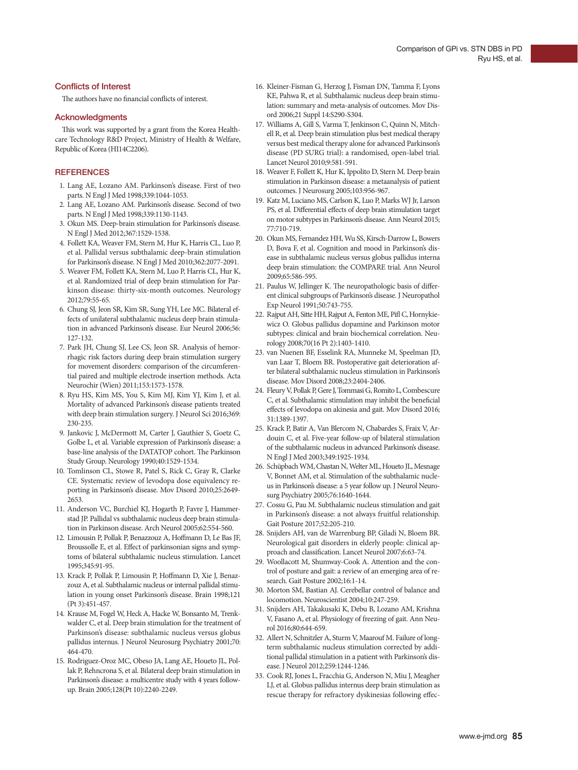#### Conflicts of Interest

The authors have no financial conflicts of interest.

#### **Acknowledgments**

This work was supported by a grant from the Korea Healthcare Technology R&D Project, Ministry of Health & Welfare, Republic of Korea (HI14C2206).

#### **REFERENCES**

- 1. Lang AE, Lozano AM. Parkinson's disease. First of two parts. N Engl J Med 1998;339:1044-1053.
- 2. Lang AE, Lozano AM. Parkinson's disease. Second of two parts. N Engl J Med 1998;339:1130-1143.
- 3. Okun MS. Deep-brain stimulation for Parkinson's disease. N Engl J Med 2012;367:1529-1538.
- 4. Follett KA, Weaver FM, Stern M, Hur K, Harris CL, Luo P, et al. Pallidal versus subthalamic deep-brain stimulation for Parkinson's disease. N Engl J Med 2010;362:2077-2091.
- 5. Weaver FM, Follett KA, Stern M, Luo P, Harris CL, Hur K, et al. Randomized trial of deep brain stimulation for Parkinson disease: thirty-six-month outcomes. Neurology 2012;79:55-65.
- 6. Chung SJ, Jeon SR, Kim SR, Sung YH, Lee MC. Bilateral effects of unilateral subthalamic nucleus deep brain stimulation in advanced Parkinson's disease. Eur Neurol 2006;56: 127-132.
- 7. Park JH, Chung SJ, Lee CS, Jeon SR. Analysis of hemorrhagic risk factors during deep brain stimulation surgery for movement disorders: comparison of the circumferential paired and multiple electrode insertion methods. Acta Neurochir (Wien) 2011;153:1573-1578.
- 8. Ryu HS, Kim MS, You S, Kim MJ, Kim YJ, Kim J, et al. Mortality of advanced Parkinson's disease patients treated with deep brain stimulation surgery. J Neurol Sci 2016;369: 230-235.
- 9. Jankovic J, McDermott M, Carter J, Gauthier S, Goetz C, Golbe L, et al. Variable expression of Parkinson's disease: a base-line analysis of the DATATOP cohort. The Parkinson Study Group. Neurology 1990;40:1529-1534.
- 10. Tomlinson CL, Stowe R, Patel S, Rick C, Gray R, Clarke CE. Systematic review of levodopa dose equivalency reporting in Parkinson's disease. Mov Disord 2010;25:2649- 2653.
- 11. Anderson VC, Burchiel KJ, Hogarth P, Favre J, Hammerstad JP. Pallidal vs subthalamic nucleus deep brain stimulation in Parkinson disease. Arch Neurol 2005;62:554-560.
- 12. Limousin P, Pollak P, Benazzouz A, Hoffmann D, Le Bas JF, Broussolle E, et al. Effect of parkinsonian signs and symptoms of bilateral subthalamic nucleus stimulation. Lancet 1995;345:91-95.
- 13. Krack P, Pollak P, Limousin P, Hoffmann D, Xie J, Benazzouz A, et al. Subthalamic nucleus or internal pallidal stimulation in young onset Parkinson's disease. Brain 1998;121 (Pt 3):451-457.
- 14. Krause M, Fogel W, Heck A, Hacke W, Bonsanto M, Trenkwalder C, et al. Deep brain stimulation for the treatment of Parkinson's disease: subthalamic nucleus versus globus pallidus internus. J Neurol Neurosurg Psychiatry 2001;70: 464-470.
- 15. Rodriguez-Oroz MC, Obeso JA, Lang AE, Houeto JL, Pollak P, Rehncrona S, et al. Bilateral deep brain stimulation in Parkinson's disease: a multicentre study with 4 years followup. Brain 2005;128(Pt 10):2240-2249.
- 16. Kleiner-Fisman G, Herzog J, Fisman DN, Tamma F, Lyons KE, Pahwa R, et al. Subthalamic nucleus deep brain stimulation: summary and meta-analysis of outcomes. Mov Disord 2006;21 Suppl 14:S290-S304.
- 17. Williams A, Gill S, Varma T, Jenkinson C, Quinn N, Mitchell R, et al. Deep brain stimulation plus best medical therapy versus best medical therapy alone for advanced Parkinson's disease (PD SURG trial): a randomised, open-label trial. Lancet Neurol 2010;9:581-591.
- 18. Weaver F, Follett K, Hur K, Ippolito D, Stern M. Deep brain stimulation in Parkinson disease: a metaanalysis of patient outcomes. J Neurosurg 2005;103:956-967.
- 19. Katz M, Luciano MS, Carlson K, Luo P, Marks WJ Jr, Larson PS, et al. Differential effects of deep brain stimulation target on motor subtypes in Parkinson's disease. Ann Neurol 2015; 77:710-719.
- 20. Okun MS, Fernandez HH, Wu SS, Kirsch-Darrow L, Bowers D, Bova F, et al. Cognition and mood in Parkinson's disease in subthalamic nucleus versus globus pallidus interna deep brain stimulation: the COMPARE trial. Ann Neurol 2009;65:586-595.
- 21. Paulus W, Jellinger K. The neuropathologic basis of different clinical subgroups of Parkinson's disease. J Neuropathol Exp Neurol 1991;50:743-755.
- 22. Rajput AH, Sitte HH, Rajput A, Fenton ME, Pifl C, Hornykiewicz O. Globus pallidus dopamine and Parkinson motor subtypes: clinical and brain biochemical correlation. Neurology 2008;70(16 Pt 2):1403-1410.
- 23. van Nuenen BF, Esselink RA, Munneke M, Speelman JD, van Laar T, Bloem BR. Postoperative gait deterioration after bilateral subthalamic nucleus stimulation in Parkinson's disease. Mov Disord 2008;23:2404-2406.
- 24. Fleury V, Pollak P, Gere J, Tommasi G, Romito L, Combescure C, et al. Subthalamic stimulation may inhibit the beneficial effects of levodopa on akinesia and gait. Mov Disord 2016; 31:1389-1397.
- 25. Krack P, Batir A, Van Blercom N, Chabardes S, Fraix V, Ardouin C, et al. Five-year follow-up of bilateral stimulation of the subthalamic nucleus in advanced Parkinson's disease. N Engl J Med 2003;349:1925-1934.
- 26. Schüpbach WM, Chastan N, Welter ML, Houeto JL, Mesnage V, Bonnet AM, et al. Stimulation of the subthalamic nucleus in Parkinson's disease: a 5 year follow up. J Neurol Neurosurg Psychiatry 2005;76:1640-1644.
- 27. Cossu G, Pau M. Subthalamic nucleus stimulation and gait in Parkinson's disease: a not always fruitful relationship. Gait Posture 2017;52:205-210.
- 28. Snijders AH, van de Warrenburg BP, Giladi N, Bloem BR. Neurological gait disorders in elderly people: clinical approach and classification. Lancet Neurol 2007;6:63-74.
- 29. Woollacott M, Shumway-Cook A. Attention and the control of posture and gait: a review of an emerging area of research. Gait Posture 2002;16:1-14.
- 30. Morton SM, Bastian AJ. Cerebellar control of balance and locomotion. Neuroscientist 2004;10:247-259.
- 31. Snijders AH, Takakusaki K, Debu B, Lozano AM, Krishna V, Fasano A, et al. Physiology of freezing of gait. Ann Neurol 2016;80:644-659.
- 32. Allert N, Schnitzler A, Sturm V, Maarouf M. Failure of longterm subthalamic nucleus stimulation corrected by additional pallidal stimulation in a patient with Parkinson's disease. J Neurol 2012;259:1244-1246.
- 33. Cook RJ, Jones L, Fracchia G, Anderson N, Miu J, Meagher LJ, et al. Globus pallidus internus deep brain stimulation as rescue therapy for refractory dyskinesias following effec-